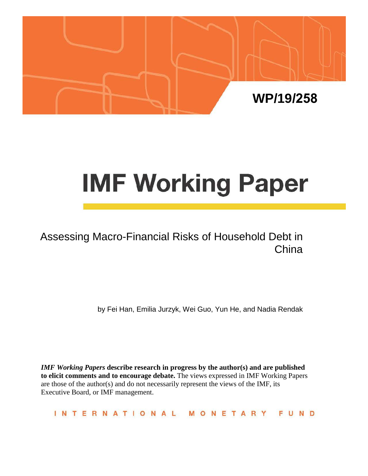

# **IMF Working Paper**

# Assessing Macro-Financial Risks of Household Debt in China

by Fei Han, Emilia Jurzyk, Wei Guo, Yun He, and Nadia Rendak

*IMF Working Papers* **describe research in progress by the author(s) and are published to elicit comments and to encourage debate.** The views expressed in IMF Working Papers are those of the author(s) and do not necessarily represent the views of the IMF, its Executive Board, or IMF management.

**INTERNATIONAL** FUND MONETARY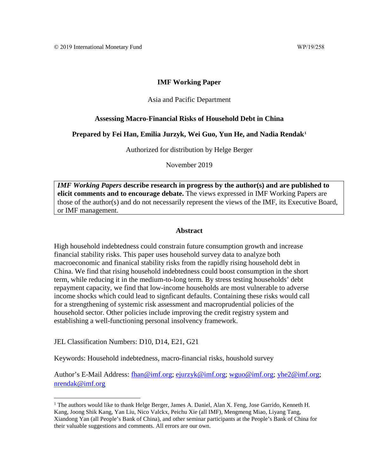#### **IMF Working Paper**

#### Asia and Pacific Department

#### **Assessing Macro-Financial Risks of Household Debt in China**

#### **Prepared by Fei Han, Emilia Jurzyk, Wei Guo, Yun He, and Nadia Rendak[1](#page-1-0)**

Authorized for distribution by Helge Berger

November 2019

*IMF Working Papers* **describe research in progress by the author(s) and are published to elicit comments and to encourage debate.** The views expressed in IMF Working Papers are those of the author(s) and do not necessarily represent the views of the IMF, its Executive Board, or IMF management.

#### **Abstract**

<span id="page-1-1"></span>High household indebtedness could constrain future consumption growth and increase financial stability risks. This paper uses household survey data to analyze both macroeconomic and finanical stability risks from the rapidly rising household debt in China. We find that rising household indebtedness could boost consumption in the short term, while reducing it in the medium-to-long term. By stress testing households' debt repayment capacity, we find that low-income households are most vulnerable to adverse income shocks which could lead to signficant defaults. Containing these risks would call for a strengthening of systemic risk assessment and macroprudential policies of the household sector. Other policies include improving the credit registry system and establishing a well-functioning personal insolvency framework.

JEL Classification Numbers: D10, D14, E21, G21

Keywords: Household indebtedness, macro-financial risks, houshold survey

Author's E-Mail Address: [fhan@imf.org;](mailto:fhan@imf.org) [ejurzyk@imf.org;](mailto:ejurzyk@imf.org) [wguo@imf.org;](mailto:wguo@imf.org) [yhe2@imf.org;](mailto:yhe2@imf.org) [nrendak@imf.org](mailto:nrendak@imf.org)

<span id="page-1-0"></span><sup>&</sup>lt;sup>1</sup> The authors would like to thank Helge Berger, James A. Daniel, Alan X. Feng, Jose Garrido, Kenneth H. Kang, Joong Shik Kang, Yan Liu, Nico Valckx, Peichu Xie (all IMF), Mengmeng Miao, Liyang Tang, Xiandong Yan (all People's Bank of China), and other seminar participants at the People's Bank of China for their valuable suggestions and comments. All errors are our own.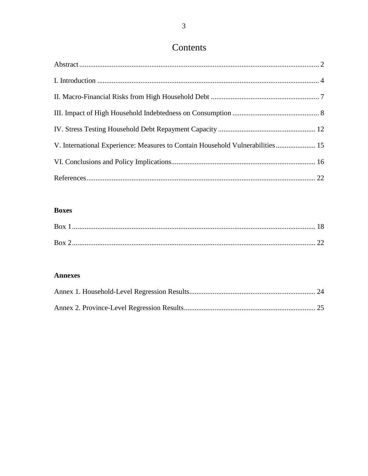# Contents

| V. International Experience: Measures to Contain Household Vulnerabilities 15 |  |
|-------------------------------------------------------------------------------|--|
|                                                                               |  |
|                                                                               |  |

# **Boxes**

| <b>Box</b> |  |
|------------|--|
|            |  |
| <b>Box</b> |  |
|            |  |

#### **Annexes**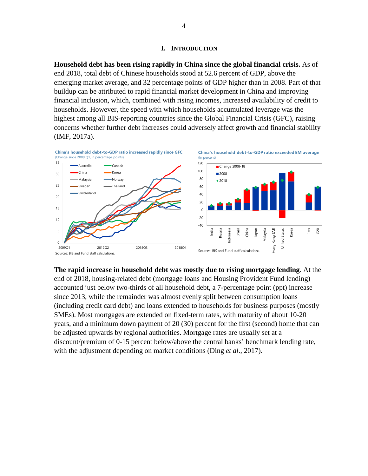#### **I. INTRODUCTION**

<span id="page-3-0"></span>**Household debt has been rising rapidly in China since the global financial crisis.** As of end 2018, total debt of Chinese households stood at 52.6 percent of GDP, above the emerging market average, and 32 percentage points of GDP higher than in 2008. Part of that buildup can be attributed to rapid financial market development in China and improving financial inclusion, which, combined with rising incomes, increased availability of credit to households. However, the speed with which households accumulated leverage was the highest among all BIS-reporting countries since the Global Financial Crisis (GFC), raising concerns whether further debt increases could adversely affect growth and financial stability (IMF, 2017a).



**The rapid increase in household debt was mostly due to rising mortgage lending**. At the end of 2018, housing-related debt (mortgage loans and Housing Provident Fund lending) accounted just below two-thirds of all household debt, a 7-percentage point (ppt) increase since 2013, while the remainder was almost evenly split between consumption loans (including credit card debt) and loans extended to households for business purposes (mostly SMEs). Most mortgages are extended on fixed-term rates, with maturity of about 10-20 years, and a minimum down payment of 20 (30) percent for the first (second) home that can be adjusted upwards by regional authorities. Mortgage rates are usually set at a discount/premium of 0-15 percent below/above the central banks' benchmark lending rate, with the adjustment depending on market conditions (Ding *et al*., 2017).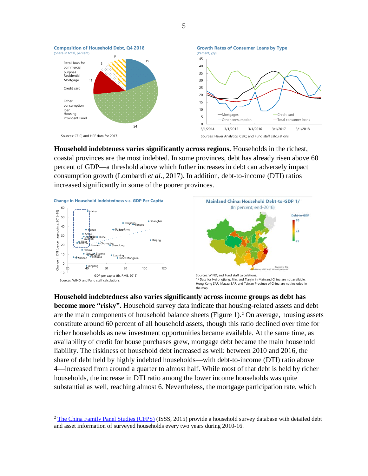

**Household indebteness varies significantly across regions.** Households in the richest, coastal provinces are the most indebted. In some provinces, debt has already risen above 60 percent of GDP—a threshold above which futher increases in debt can adversely impact consumption growth (Lombardi *et al*., 2017). In addition, debt-to-income (DTI) ratios increased significantly in some of the poorer provinces.



Retail loan for commercial purpose Residential Mortgage Credit card

(Share in total, percent)

Other consumption loan انون<br>Housing ا Provident Fund



**Household indebtedness also varies significantly across income groups as debt has become more "risky".** Household survey data indicate that housing-related assets and debt are the main components of household balance sheets (Figure 1).[2](#page-4-0) On average, housing assets constitute around 60 percent of all household assets, though this ratio declined over time for richer households as new investment opportunities became available. At the same time, as availability of credit for house purchases grew, mortgage debt became the main household liability. The riskiness of household debt increased as well: between 2010 and 2016, the share of debt held by highly indebted households—with debt-to-income (DTI) ratio above 4—increased from around a quarter to almost half. While most of that debt is held by richer households, the increase in DTI ratio among the lower income households was quite substantial as well, reaching almost 6. Nevertheless, the mortgage participation rate, which

5

<span id="page-4-0"></span><sup>&</sup>lt;sup>2</sup> [The China Family Panel Studies \(CFPS\)](http://opendata.pku.edu.cn/dataverse/CFPS?language=en) (ISSS, 2015) provide a household survey database with detailed debt and asset information of surveyed households every two years during 2010-16.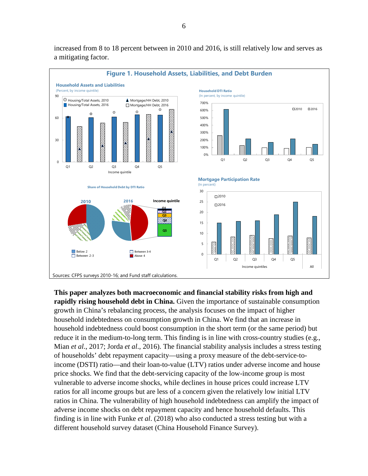

increased from 8 to 18 percent between in 2010 and 2016, is still relatively low and serves as a mitigating factor.

**This paper analyzes both macroeconomic and financial stability risks from high and rapidly rising household debt in China.** Given the importance of sustainable consumption growth in China's rebalancing process, the analysis focuses on the impact of higher household indebtedness on consumption growth in China. We find that an increase in household indebtedness could boost consumption in the short term (or the same period) but reduce it in the medium-to-long term. This finding is in line with cross-country studies (e.g., Mian *et al*., 2017; Jorda *et al*., 2016). The financial stability analysis includes a stress testing of households' debt repayment capacity—using a proxy measure of the debt-service-toincome (DSTI) ratio—and their loan-to-value (LTV) ratios under adverse income and house price shocks. We find that the debt-servicing capacity of the low-income group is most vulnerable to adverse income shocks, while declines in house prices could increase LTV ratios for all income groups but are less of a concern given the relatively low initial LTV ratios in China. The vulnerability of high household indebtedness can amplify the impact of adverse income shocks on debt repayment capacity and hence household defaults. This finding is in line with Funke *et al*. (2018) who also conducted a stress testing but with a different household survey dataset (China Household Finance Survey).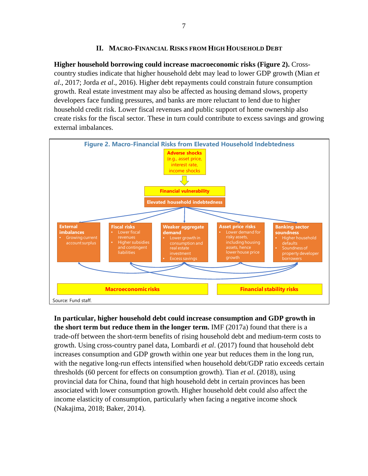#### **II. MACRO-FINANCIAL RISKS FROM HIGH HOUSEHOLD DEBT**

<span id="page-6-0"></span>**Higher household borrowing could increase macroeconomic risks (Figure 2).** Crosscountry studies indicate that higher household debt may lead to lower GDP growth (Mian *et al*., 2017; Jorda *et al*., 2016). Higher debt repayments could constrain future consumption growth. Real estate investment may also be affected as housing demand slows, property developers face funding pressures, and banks are more reluctant to lend due to higher household credit risk. Lower fiscal revenues and public support of home ownership also create risks for the fiscal sector. These in turn could contribute to excess savings and growing external imbalances.



**In particular, higher household debt could increase consumption and GDP growth in the short term but reduce them in the longer term.** IMF (2017a) found that there is a trade-off between the short-term benefits of rising household debt and medium-term costs to growth. Using cross-country panel data, Lombardi *et al*. (2017) found that household debt increases consumption and GDP growth within one year but reduces them in the long run, with the negative long-run effects intensified when household debt/GDP ratio exceeds certain thresholds (60 percent for effects on consumption growth). Tian *et al*. (2018), using provincial data for China, found that high household debt in certain provinces has been associated with lower consumption growth. Higher household debt could also affect the income elasticity of consumption, particularly when facing a negative income shock (Nakajima, 2018; Baker, 2014).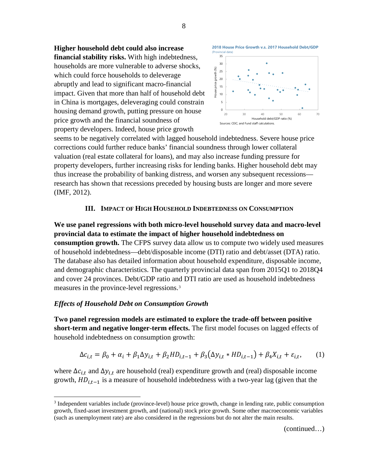**Higher household debt could also increase financial stability risks.** With high indebtedness, households are more vulnerable to adverse shocks, which could force households to deleverage abruptly and lead to significant macro-financial impact. Given that more than half of household debt in China is mortgages, deleveraging could constrain housing demand growth, putting pressure on house price growth and the financial soundness of property developers. Indeed, house price growth



seems to be negatively correlated with lagged household indebtedness. Severe house price corrections could further reduce banks' financial soundness through lower collateral valuation (real estate collateral for loans), and may also increase funding pressure for property developers, further increasing risks for lending banks. Higher household debt may thus increase the probability of banking distress, and worsen any subsequent recessions research has shown that recessions preceded by housing busts are longer and more severe (IMF, 2012).

#### **III. IMPACT OF HIGH HOUSEHOLD INDEBTEDNESS ON CONSUMPTION**

<span id="page-7-0"></span>**We use panel regressions with both micro-level household survey data and macro-level provincial data to estimate the impact of higher household indebtedness on consumption growth.** The CFPS survey data allow us to compute two widely used measures of household indebtedness—debt/disposable income (DTI) ratio and debt/asset (DTA) ratio. The database also has detailed information about household expenditure, disposable income, and demographic characteristics. The quarterly provincial data span from 2015Q1 to 2018Q4 and cover 24 provinces. Debt/GDP ratio and DTI ratio are used as household indebtedness measures in the province-level regressions.[3](#page-7-1)

#### *Effects of Household Debt on Consumption Growth*

**Two panel regression models are estimated to explore the trade-off between positive short-term and negative longer-term effects.** The first model focuses on lagged effects of household indebtedness on consumption growth:

$$
\Delta c_{i,t} = \beta_0 + \alpha_i + \beta_1 \Delta y_{i,t} + \beta_2 H D_{i,t-1} + \beta_3 (\Delta y_{i,t} * H D_{i,t-1}) + \beta_4 X_{i,t} + \varepsilon_{i,t},\tag{1}
$$

where  $\Delta c_{i,t}$  and  $\Delta y_{i,t}$  are household (real) expenditure growth and (real) disposable income growth,  $HD_{i,t-1}$  is a measure of household indebtedness with a two-year lag (given that the

8

(continued…)

<span id="page-7-1"></span> <sup>3</sup> Independent variables include (province-level) house price growth, change in lending rate, public consumption growth, fixed-asset investment growth, and (national) stock price growth. Some other macroeconomic variables (such as unemployment rate) are also considered in the regressions but do not alter the main results.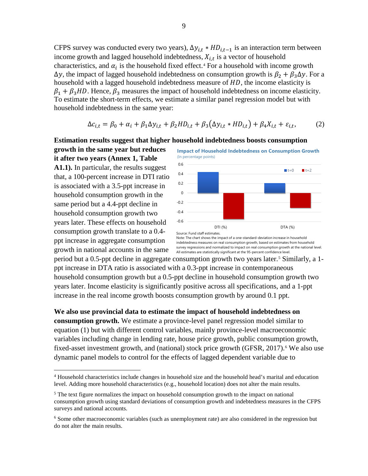CFPS survey was conducted every two years),  $\Delta y_{i,t} * HD_{i,t-1}$  is an interaction term between income growth and lagged household indebtedness,  $X_{i,t}$  is a vector of household characteristics, and  $\alpha_i$  is the household fixed effect.<sup>[4](#page-8-0)</sup> For a household with income growth  $\Delta y$ , the impact of lagged household indebtedness on consumption growth is  $\beta_2 + \beta_3 \Delta y$ . For a household with a lagged household indebtedness measure of  $HD$ , the income elasticity is  $\beta_1 + \beta_3 HD$ . Hence,  $\beta_3$  measures the impact of household indebtedness on income elasticity. To estimate the short-term effects, we estimate a similar panel regression model but with household indebtedness in the same year:

$$
\Delta c_{i,t} = \beta_0 + \alpha_i + \beta_1 \Delta y_{i,t} + \beta_2 H D_{i,t} + \beta_3 (\Delta y_{i,t} * H D_{i,t}) + \beta_4 X_{i,t} + \varepsilon_{i,t},\tag{2}
$$

#### **Estimation results suggest that higher household indebtedness boosts consumption**

**growth in the same year but reduces it after two years (Annex 1, Table A1.1).** In particular, the results suggest that, a 100-percent increase in DTI ratio is associated with a 3.5-ppt increase in household consumption growth in the same period but a 4.4-ppt decline in household consumption growth two years later. These effects on household consumption growth translate to a 0.4 ppt increase in aggregate consumption growth in national accounts in the same



**Impact of Household Indebtedness on Consumption Growth**

indebtedness measures on real consumption growth, based on estimates from household survey regressions and normalized to impact on real consumption growth at the national level. All estimates are statistically significant at the 95-percent confidence level.

period but a 0.[5](#page-8-1)-ppt decline in aggregate consumption growth two years later.<sup>5</sup> Similarly, a 1ppt increase in DTA ratio is associated with a 0.3-ppt increase in contemporaneous household consumption growth but a 0.5-ppt decline in household consumption growth two years later. Income elasticity is significantly positive across all specifications, and a 1-ppt increase in the real income growth boosts consumption growth by around 0.1 ppt.

**We also use provincial data to estimate the impact of household indebtedness on consumption growth.** We estimate a province-level panel regression model similar to equation (1) but with different control variables, mainly province-level macroeconomic variables including change in lending rate, house price growth, public consumption growth, fixed-asset investment growth, and (national) stock price growth (GFSR,  $2017$ ).<sup>[6](#page-8-2)</sup> We also use dynamic panel models to control for the effects of lagged dependent variable due to

<span id="page-8-0"></span> <sup>4</sup> Household characteristics include changes in household size and the household head's marital and education level. Adding more household characteristics (e.g., household location) does not alter the main results.

<span id="page-8-1"></span><sup>&</sup>lt;sup>5</sup> The text figure normalizes the impact on household consumption growth to the impact on national consumption growth using standard deviations of consumption growth and indebtedness measures in the CFPS surveys and national accounts.

<span id="page-8-2"></span><sup>&</sup>lt;sup>6</sup> Some other macroeconomic variables (such as unemployment rate) are also considered in the regression but do not alter the main results.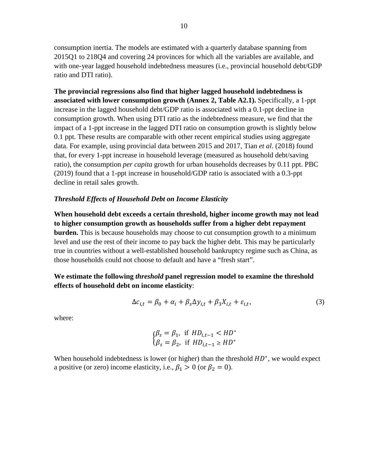consumption inertia. The models are estimated with a quarterly database spanning from 2015Q1 to 218Q4 and covering 24 provinces for which all the variables are available, and with one-year lagged household indebtedness measures (i.e., provincial household debt/GDP ratio and DTI ratio).

**The provincial regressions also find that higher lagged household indebtedness is associated with lower consumption growth (Annex 2, Table A2.1).** Specifically, a 1-ppt increase in the lagged household debt/GDP ratio is associated with a 0.1-ppt decline in consumption growth. When using DTI ratio as the indebtedness measure, we find that the impact of a 1-ppt increase in the lagged DTI ratio on consumption growth is slightly below 0.1 ppt. These results are comparable with other recent empirical studies using aggregate data. For example, using provincial data between 2015 and 2017, Tian *et al*. (2018) found that, for every 1-ppt increase in household leverage (measured as household debt/saving ratio), the consumption *per capita* growth for urban households decreases by 0.11 ppt. PBC (2019) found that a 1-ppt increase in household/GDP ratio is associated with a 0.3-ppt decline in retail sales growth.

#### *Threshold Effects of Household Debt on Income Elasticity*

**When household debt exceeds a certain threshold, higher income growth may not lead to higher consumption growth as households suffer from a higher debt repayment burden.** This is because households may choose to cut consumption growth to a minimum level and use the rest of their income to pay back the higher debt. This may be particularly true in countries without a well-established household bankruptcy regime such as China, as those households could not choose to default and have a "fresh start".

**We estimate the following** *threshold* **panel regression model to examine the threshold effects of household debt on income elasticity**:

$$
\Delta c_{i,t} = \beta_0 + \alpha_i + \beta_s \Delta y_{i,t} + \beta_3 X_{i,t} + \varepsilon_{i,t},
$$
\n(3)

where:

$$
\begin{cases}\n\beta_s = \beta_1, & \text{if } HD_{i,t-1} < HD^* \\
\beta_s = \beta_2, & \text{if } HD_{i,t-1} \ge HD^*\n\end{cases}
$$

When household indebtedness is lower (or higher) than the threshold  $HD^*$ , we would expect a positive (or zero) income elasticity, i.e.,  $\beta_1 > 0$  (or  $\beta_2 = 0$ ).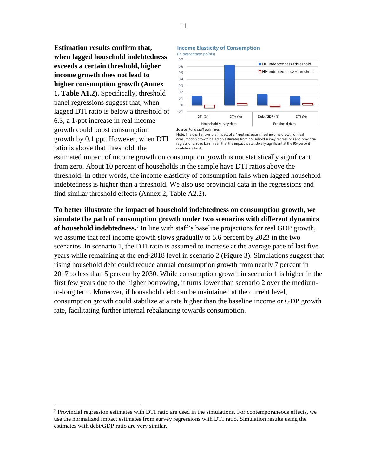**Estimation results confirm that, when lagged household indebtedness exceeds a certain threshold, higher income growth does not lead to higher consumption growth (Annex 1, Table A1.2).** Specifically, threshold panel regressions suggest that, when lagged DTI ratio is below a threshold of 6.3, a 1-ppt increase in real income growth could boost consumption growth by 0.1 ppt. However, when DTI ratio is above that threshold, the

#### **Income Elasticity of Consumption**





Note: The chart shows the impact of a 1-ppt increase in real income growth on real consumption growth based on estimates from household survey regressions and provincial regressions. Solid bars mean that the impact is statistically significant at the 95-percent confidence level.

estimated impact of income growth on consumption growth is not statistically significant from zero. About 10 percent of households in the sample have DTI ratios above the threshold. In other words, the income elasticity of consumption falls when lagged household indebtedness is higher than a threshold. We also use provincial data in the regressions and find similar threshold effects (Annex 2, Table A2.2).

**To better illustrate the impact of household indebtedness on consumption growth, we simulate the path of consumption growth under two scenarios with different dynamics of household indebtedness.[7](#page-10-0)** In line with staff's baseline projections for real GDP growth, we assume that real income growth slows gradually to 5.6 percent by 2023 in the two scenarios. In scenario 1, the DTI ratio is assumed to increase at the average pace of last five years while remaining at the end-2018 level in scenario 2 (Figure 3). Simulations suggest that rising household debt could reduce annual consumption growth from nearly 7 percent in 2017 to less than 5 percent by 2030. While consumption growth in scenario 1 is higher in the first few years due to the higher borrowing, it turns lower than scenario 2 over the mediumto-long term. Moreover, if household debt can be maintained at the current level, consumption growth could stabilize at a rate higher than the baseline income or GDP growth rate, facilitating further internal rebalancing towards consumption.

<span id="page-10-0"></span> $7$  Provincial regression estimates with DTI ratio are used in the simulations. For contemporaneous effects, we use the normalized impact estimates from survey regressions with DTI ratio. Simulation results using the estimates with debt/GDP ratio are very similar.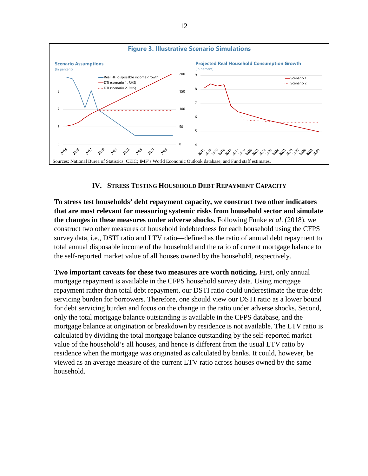

## **IV. STRESS TESTING HOUSEHOLD DEBT REPAYMENT CAPACITY**

<span id="page-11-0"></span>**To stress test households' debt repayment capacity, we construct two other indicators that are most relevant for measuring systemic risks from household sector and simulate the changes in these measures under adverse shocks.** Following Funke *et al*. (2018), we construct two other measures of household indebtedness for each household using the CFPS survey data, i.e., DSTI ratio and LTV ratio—defined as the ratio of annual debt repayment to total annual disposable income of the household and the ratio of current mortgage balance to the self-reported market value of all houses owned by the household, respectively.

**Two important caveats for these two measures are worth noticing.** First, only annual mortgage repayment is available in the CFPS household survey data. Using mortgage repayment rather than total debt repayment, our DSTI ratio could underestimate the true debt servicing burden for borrowers. Therefore, one should view our DSTI ratio as a lower bound for debt servicing burden and focus on the change in the ratio under adverse shocks. Second, only the total mortgage balance outstanding is available in the CFPS database, and the mortgage balance at origination or breakdown by residence is not available. The LTV ratio is calculated by dividing the total mortgage balance outstanding by the self-reported market value of the household's all houses, and hence is different from the usual LTV ratio by residence when the mortgage was originated as calculated by banks. It could, however, be viewed as an average measure of the current LTV ratio across houses owned by the same household.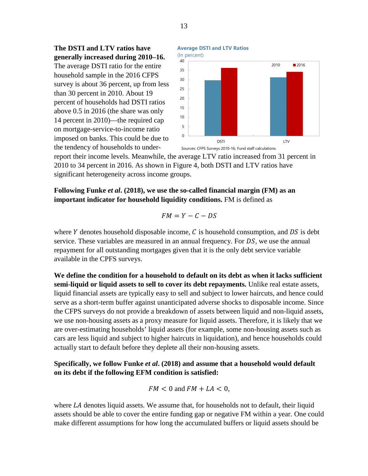**The DSTI and LTV ratios have generally increased during 2010–16.** 

The average DSTI ratio for the entire household sample in the 2016 CFPS survey is about 36 percent, up from less than 30 percent in 2010. About 19 percent of households had DSTI ratios above 0.5 in 2016 (the share was only 14 percent in 2010)—the required cap on mortgage-service-to-income ratio imposed on banks. This could be due to the tendency of households to under-





report their income levels. Meanwhile, the average LTV ratio increased from 31 percent in 2010 to 34 percent in 2016. As shown in Figure 4, both DSTI and LTV ratios have significant heterogeneity across income groups.

**Following Funke** *et al***. (2018), we use the so-called financial margin (FM) as an important indicator for household liquidity conditions.** FM is defined as

$$
FM = Y - C - DS
$$

where Y denotes household disposable income,  $C$  is household consumption, and  $DS$  is debt service. These variables are measured in an annual frequency. For  $DS$ , we use the annual repayment for all outstanding mortgages given that it is the only debt service variable available in the CPFS surveys.

**We define the condition for a household to default on its debt as when it lacks sufficient semi-liquid or liquid assets to sell to cover its debt repayments.** Unlike real estate assets, liquid financial assets are typically easy to sell and subject to lower haircuts, and hence could serve as a short-term buffer against unanticipated adverse shocks to disposable income. Since the CFPS surveys do not provide a breakdown of assets between liquid and non-liquid assets, we use non-housing assets as a proxy measure for liquid assets. Therefore, it is likely that we are over-estimating households' liquid assets (for example, some non-housing assets such as cars are less liquid and subject to higher haircuts in liquidation), and hence households could actually start to default before they deplete all their non-housing assets.

**Specifically, we follow Funke** *et al***. (2018) and assume that a household would default on its debt if the following EFM condition is satisfied:** 

$$
FM < 0 \text{ and } FM + LA < 0,
$$

where  $LA$  denotes liquid assets. We assume that, for households not to default, their liquid assets should be able to cover the entire funding gap or negative FM within a year. One could make different assumptions for how long the accumulated buffers or liquid assets should be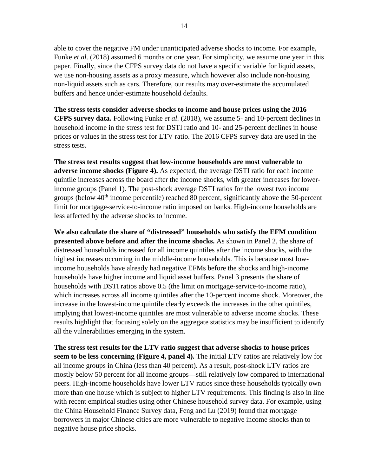able to cover the negative FM under unanticipated adverse shocks to income. For example, Funke *et al*. (2018) assumed 6 months or one year. For simplicity, we assume one year in this paper. Finally, since the CFPS survey data do not have a specific variable for liquid assets, we use non-housing assets as a proxy measure, which however also include non-housing non-liquid assets such as cars. Therefore, our results may over-estimate the accumulated buffers and hence under-estimate household defaults.

**The stress tests consider adverse shocks to income and house prices using the 2016 CFPS survey data.** Following Funke *et al*. (2018), we assume 5- and 10-percent declines in household income in the stress test for DSTI ratio and 10- and 25-percent declines in house prices or values in the stress test for LTV ratio. The 2016 CFPS survey data are used in the stress tests.

**The stress test results suggest that low-income households are most vulnerable to adverse income shocks (Figure 4).** As expected, the average DSTI ratio for each income quintile increases across the board after the income shocks, with greater increases for lowerincome groups (Panel 1). The post-shock average DSTI ratios for the lowest two income groups (below  $40<sup>th</sup>$  income percentile) reached 80 percent, significantly above the 50-percent limit for mortgage-service-to-income ratio imposed on banks. High-income households are less affected by the adverse shocks to income.

**We also calculate the share of "distressed" households who satisfy the EFM condition presented above before and after the income shocks.** As shown in Panel 2, the share of distressed households increased for all income quintiles after the income shocks, with the highest increases occurring in the middle-income households. This is because most lowincome households have already had negative EFMs before the shocks and high-income households have higher income and liquid asset buffers. Panel 3 presents the share of households with DSTI ratios above 0.5 (the limit on mortgage-service-to-income ratio), which increases across all income quintiles after the 10-percent income shock. Moreover, the increase in the lowest-income quintile clearly exceeds the increases in the other quintiles, implying that lowest-income quintiles are most vulnerable to adverse income shocks. These results highlight that focusing solely on the aggregate statistics may be insufficient to identify all the vulnerabilities emerging in the system.

**The stress test results for the LTV ratio suggest that adverse shocks to house prices seem to be less concerning (Figure 4, panel 4).** The initial LTV ratios are relatively low for all income groups in China (less than 40 percent). As a result, post-shock LTV ratios are mostly below 50 percent for all income groups—still relatively low compared to international peers. High-income households have lower LTV ratios since these households typically own more than one house which is subject to higher LTV requirements. This finding is also in line with recent empirical studies using other Chinese household survey data. For example, using the China Household Finance Survey data, Feng and Lu (2019) found that mortgage borrowers in major Chinese cities are more vulnerable to negative income shocks than to negative house price shocks.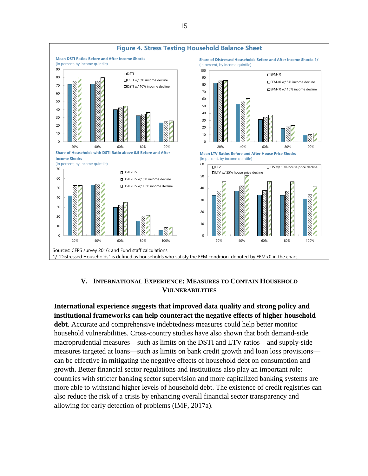

### **V. INTERNATIONAL EXPERIENCE: MEASURES TO CONTAIN HOUSEHOLD VULNERABILITIES**

<span id="page-14-0"></span>**International experience suggests that improved data quality and strong policy and institutional frameworks can help counteract the negative effects of higher household debt**. Accurate and comprehensive indebtedness measures could help better monitor household vulnerabilities. Cross-country studies have also shown that both demand-side macroprudential measures—such as limits on the DSTI and LTV ratios—and supply-side measures targeted at loans—such as limits on bank credit growth and loan loss provisions can be effective in mitigating the negative effects of household debt on consumption and growth. Better financial sector regulations and institutions also play an important role: countries with stricter banking sector supervision and more capitalized banking systems are more able to withstand higher levels of household debt. The existence of credit registries can also reduce the risk of a crisis by enhancing overall financial sector transparency and allowing for early detection of problems (IMF, 2017a).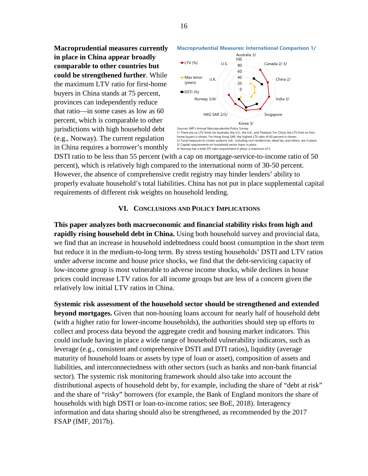**Macroprudential measures currently in place in China appear broadly comparable to other countries but could be strengthened further**. While the maximum LTV ratio for first-home buyers in China stands at 75 percent, provinces can independently reduce that ratio—in some cases as low as 60 percent, which is comparable to other jurisdictions with high household debt (e.g., Norway). The current regulation in China requires a borrower's monthly



**Macroprudential Measures: International Comparison 1/**

DSTI ratio to be less than 55 percent (with a cap on mortgage-service-to-income ratio of 50 percent), which is relatively high compared to the international norm of 30-50 percent. However, the absence of comprehensive credit registry may hinder lenders' ability to properly evaluate household's total liabilities. China has not put in place supplemental capital requirements of different risk weights on household lending.

#### **VI. CONCLUSIONS AND POLICY IMPLICATIONS**

<span id="page-15-0"></span>**This paper analyzes both macroeconomic and financial stability risks from high and rapidly rising household debt in China.** Using both household survey and provincial data, we find that an increase in household indebtedness could boost consumption in the short term but reduce it in the medium-to-long term. By stress testing households' DSTI and LTV ratios under adverse income and house price shocks, we find that the debt-servicing capacity of low-income group is most vulnerable to adverse income shocks, while declines in house prices could increase LTV ratios for all income groups but are less of a concern given the relatively low initial LTV ratios in China.

**Systemic risk assessment of the household sector should be strengthened and extended beyond mortgages.** Given that non-housing loans account for nearly half of household debt (with a higher ratio for lower-income households), the authorities should step up efforts to collect and process data beyond the aggregate credit and housing market indicators. This could include having in place a wide range of household vulnerability indicators, such as leverage (e.g., consistent and comprehensive DSTI and DTI ratios), liquidity (average maturity of household loans or assets by type of loan or asset), composition of assets and liabilities, and interconnectedness with other sectors (such as banks and non-bank financial sector). The systemic risk monitoring framework should also take into account the distributional aspects of household debt by, for example, including the share of "debt at risk" and the share of "risky" borrowers (for example, the Bank of England monitors the share of households with high DSTI or loan-to-income ratios; see BoE, 2018). Interagency information and data sharing should also be strengthened, as recommended by the 2017 FSAP (IMF, 2017b).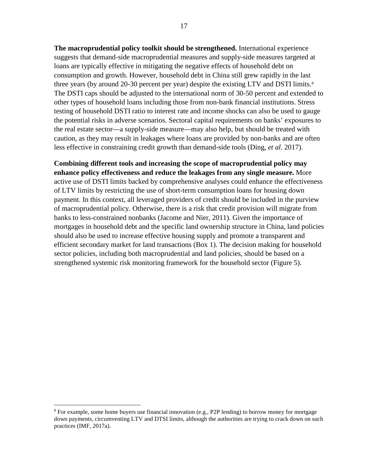**The macroprudential policy toolkit should be strengthened.** International experience suggests that demand-side macroprudential measures and supply-side measures targeted at loans are typically effective in mitigating the negative effects of household debt on consumption and growth. However, household debt in China still grew rapidly in the last three years (by around 20-30 percent per year) despite the existing LTV and DSTI limits.<sup>[8](#page-16-0)</sup> The DSTI caps should be adjusted to the international norm of 30-50 percent and extended to other types of household loans including those from non-bank financial institutions. Stress testing of household DSTI ratio to interest rate and income shocks can also be used to gauge the potential risks in adverse scenarios. Sectoral capital requirements on banks' exposures to the real estate sector—a supply-side measure—may also help, but should be treated with caution, as they may result in leakages where loans are provided by non-banks and are often less effective in constraining credit growth than demand-side tools (Ding, *et al*. 2017).

**Combining different tools and increasing the scope of macroprudential policy may enhance policy effectiveness and reduce the leakages from any single measure.** More active use of DSTI limits backed by comprehensive analyses could enhance the effectiveness of LTV limits by restricting the use of short-term consumption loans for housing down payment. In this context, all leveraged providers of credit should be included in the purview of macroprudential policy. Otherwise, there is a risk that credit provision will migrate from banks to less-constrained nonbanks (Jacome and Nier, 2011). Given the importance of mortgages in household debt and the specific land ownership structure in China, land policies should also be used to increase effective housing supply and promote a transparent and efficient secondary market for land transactions (Box 1). The decision making for household sector policies, including both macroprudential and land policies, should be based on a strengthened systemic risk monitoring framework for the household sector (Figure 5).

<span id="page-16-0"></span><sup>&</sup>lt;sup>8</sup> For example, some home buyers use financial innovation (e.g., P2P lending) to borrow money for mortgage down payments, circumventing LTV and DTSI limits, although the authorities are trying to crack down on such practices (IMF, 2017a).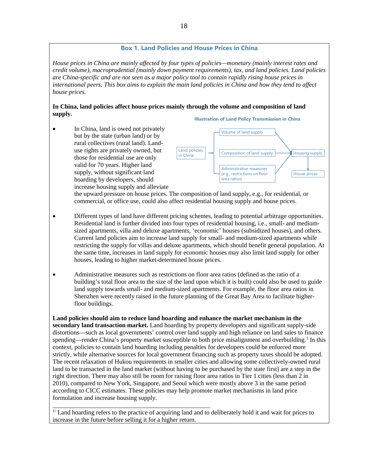#### **Box 1. Land Policies and House Prices in China**

*House prices in China are mainly affected by four types of policies—monetary (mainly interest rates and credit volume), macroprudential (mainly down payment requirements), tax, and land policies. Land policies are China-specific and are not seen as a major policy tool to contain rapidly rising house prices in international peers. This box aims to explain the main land policies in China and how they tend to affect house prices.*

#### **In China, land policies affect house prices mainly through the volume and composition of land supply. Illustration of Land Policy Transmission in China**

• In China, land is owed not privately but by the state (urban land) or by rural collectives (rural land). Landuse rights are privately owned, but those for residential use are only valid for 70 years. Higher land supply, without significant land hoarding by developers, should increase housing supply and alleviate





the upward pressure on house prices. The composition of land supply, e.g., for residential, or commercial, or office use, could also affect residential housing supply and house prices.

- Different types of land have different pricing schemes, leading to potential arbitrage opportunities. Residential land is further divided into four types of residential housing, i.e., small- and mediumsized apartments, villa and deluxe apartments, 'economic' houses (subsidized houses), and others. Current land policies aim to increase land supply for small- and medium-sized apartments while restricting the supply for villas and deluxe apartments, which should benefit general population. At the same time, increases in land supply for economic houses may also limit land supply for other houses, leading to higher market-determined house prices.
- Administrative measures such as restrictions on floor area ratios (defined as the ratio of a building's total floor area to the size of the land upon which it is built) could also be used to guide land supply towards small- and medium-sized apartments. For example, the floor area ratios in Shenzhen were recently raised in the future planning of the Great Bay Area to facilitate higherfloor buildings.

**Land policies should aim to reduce land hoarding and enhance the market mechanism in the secondary land transaction market.** Land hoarding by property developers and significant supply-side distortions—such as local governments' control over land supply and high reliance on land sales to finance spending—render China's property market susceptible to both price misalignment and overbuilding.<sup>1</sup> In this context, policies to contain land hoarding including penalties for developers could be enforced more strictly, while alternative sources for local government financing such as property taxes should be adopted. The recent relaxation of Hukou requirements in smaller cities and allowing some collectively-owned rural land to be transacted in the land market (without having to be purchased by the state first) are a step in the right direction. There may also still be room for raising floor area ratios in Tier 1 cities (less than 2 in 2010), compared to New York, Singapore, and Seoul which were mostly above 3 in the same period according to CICC estimates. These policies may help promote market mechanisms in land price formulation and increase housing supply.

\_\_\_\_\_\_\_\_\_\_\_\_\_\_\_\_\_\_\_\_\_\_\_\_\_\_\_\_\_\_\_\_\_\_\_\_\_\_\_\_\_\_\_\_\_\_\_\_\_\_ <sup>1/</sup> Land hoarding refers to the practice of acquiring land and to deliberately hold it and wait for prices to increase in the future before selling it for a higher return.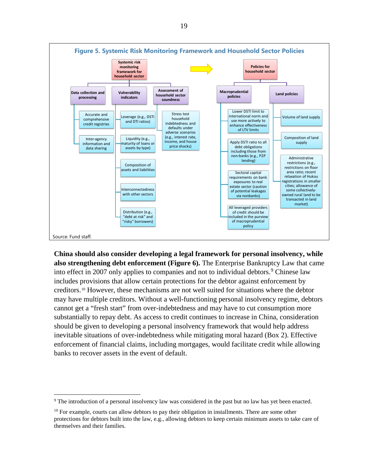

**China should also consider developing a legal framework for personal insolvency, while also strengthening debt enforcement (Figure 6).** The Enterprise Bankruptcy Law that came into effect in 2007 only applies to companies and not to individual debtors.<sup>[9](#page-18-0)</sup> Chinese law includes provisions that allow certain protections for the debtor against enforcement by creditors.[10](#page-18-1) However, these mechanisms are not well suited for situations where the debtor may have multiple creditors. Without a well-functioning personal insolvency regime, debtors cannot get a "fresh start" from over-indebtedness and may have to cut consumption more substantially to repay debt. As access to credit continues to increase in China, consideration should be given to developing a personal insolvency framework that would help address inevitable situations of over-indebtedness while mitigating moral hazard (Box 2). Effective enforcement of financial claims, including mortgages, would facilitate credit while allowing banks to recover assets in the event of default.

<span id="page-18-0"></span> <sup>9</sup> The introduction of a personal insolvency law was considered in the past but no law has yet been enacted.

<span id="page-18-1"></span> $10$  For example, courts can allow debtors to pay their obligation in installments. There are some other protections for debtors built into the law, e.g., allowing debtors to keep certain minimum assets to take care of themselves and their families.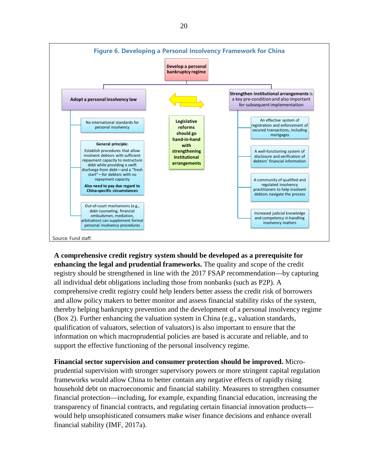

**A comprehensive credit registry system should be developed as a prerequisite for enhancing the legal and prudential frameworks.** The quality and scope of the credit registry should be strengthened in line with the 2017 FSAP recommendation—by capturing all individual debt obligations including those from nonbanks (such as P2P). A comprehensive credit registry could help lenders better assess the credit risk of borrowers and allow policy makers to better monitor and assess financial stability risks of the system, thereby helping bankruptcy prevention and the development of a personal insolvency regime (Box 2). Further enhancing the valuation system in China (e.g., valuation standards, qualification of valuators, selection of valuators) is also important to ensure that the information on which macroprudential policies are based is accurate and reliable, and to support the effective functioning of the personal insolvency regime.

**Financial sector supervision and consumer protection should be improved.** Microprudential supervision with stronger supervisory powers or more stringent capital regulation frameworks would allow China to better contain any negative effects of rapidly rising household debt on macroeconomic and financial stability. Measures to strengthen consumer financial protection—including, for example, expanding financial education, increasing the transparency of financial contracts, and regulating certain financial innovation products would help unsophisticated consumers make wiser finance decisions and enhance overall financial stability (IMF, 2017a).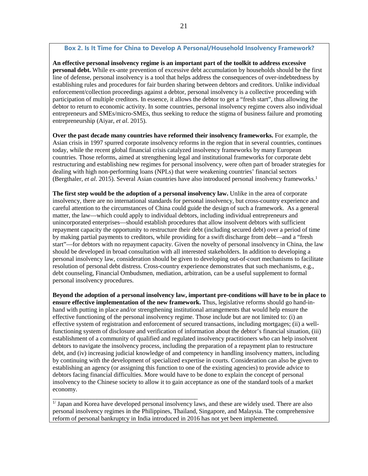#### **Box 2. Is It Time for China to Develop A Personal/Household Insolvency Framework?**

**An effective personal insolvency regime is an important part of the toolkit to address excessive personal debt.** While ex-ante prevention of excessive debt accumulation by households should be the first line of defense, personal insolvency is a tool that helps address the consequences of over-indebtedness by establishing rules and procedures for fair burden sharing between debtors and creditors. Unlike individual enforcement/collection proceedings against a debtor, personal insolvency is a collective proceeding with participation of multiple creditors. In essence, it allows the debtor to get a "fresh start", thus allowing the debtor to return to economic activity. In some countries, personal insolvency regime covers also individual entrepreneurs and SMEs/micro-SMEs, thus seeking to reduce the stigma of business failure and promoting entrepreneurship (Aiyar, *et al*. 2015).

**Over the past decade many countries have reformed their insolvency frameworks.** For example, the Asian crisis in 1997 spurred corporate insolvency reforms in the region that in several countries, continues today, while the recent global financial crisis catalyzed insolvency frameworks by many European countries. Those reforms, aimed at strengthening legal and institutional frameworks for corporate debt restructuring and establishing new regimes for personal insolvency, were often part of broader strategies for dealing with high non-performing loans (NPLs) that were weakening countries' financial sectors (Bergthaler, *et al*. 2015). Several Asian countries have also introduced personal insolvency frameworks.1

**The first step would be the adoption of a personal insolvency law.** Unlike in the area of corporate insolvency, there are no international standards for personal insolvency, but cross-country experience and careful attention to the circumstances of China could guide the design of such a framework. As a general matter, the law—which could apply to individual debtors, including individual entrepreneurs and unincorporated enterprises—should establish procedures that allow insolvent debtors with sufficient repayment capacity the opportunity to restructure their debt (including secured debt) over a period of time by making partial payments to creditors, while providing for a swift discharge from debt—and a "fresh start"—for debtors with no repayment capacity. Given the novelty of personal insolvency in China, the law should be developed in broad consultation with all interested stakeholders. In addition to developing a personal insolvency law, consideration should be given to developing out-of-court mechanisms to facilitate resolution of personal debt distress. Cross-country experience demonstrates that such mechanisms, e.g., debt counseling, Financial Ombudsmen, mediation, arbitration, can be a useful supplement to formal personal insolvency procedures.

**Beyond the adoption of a personal insolvency law, important pre-conditions will have to be in place to ensure effective implementation of the new framework.** Thus, legislative reforms should go hand-inhand with putting in place and/or strengthening institutional arrangements that would help ensure the effective functioning of the personal insolvency regime. Those include but are not limited to: (i) an effective system of registration and enforcement of secured transactions, including mortgages; (ii) a wellfunctioning system of disclosure and verification of information about the debtor's financial situation, (iii) establishment of a community of qualified and regulated insolvency practitioners who can help insolvent debtors to navigate the insolvency process, including the preparation of a repayment plan to restructure debt, and (iv) increasing judicial knowledge of and competency in handling insolvency matters, including by continuing with the development of specialized expertise in courts. Consideration can also be given to establishing an agency (or assigning this function to one of the existing agencies) to provide advice to debtors facing financial difficulties. More would have to be done to explain the concept of personal insolvency to the Chinese society to allow it to gain acceptance as one of the standard tools of a market economy.

<sup>1/</sup> Japan and Korea have developed personal insolvency laws, and these are widely used. There are also personal insolvency regimes in the Philippines, Thailand, Singapore, and Malaysia. The comprehensive reform of personal bankruptcy in India introduced in 2016 has not yet been implemented.

\_\_\_\_\_\_\_\_\_\_\_\_\_\_\_\_\_\_\_\_\_\_\_\_\_\_\_\_\_\_\_\_\_\_\_\_\_\_\_\_\_\_\_\_\_\_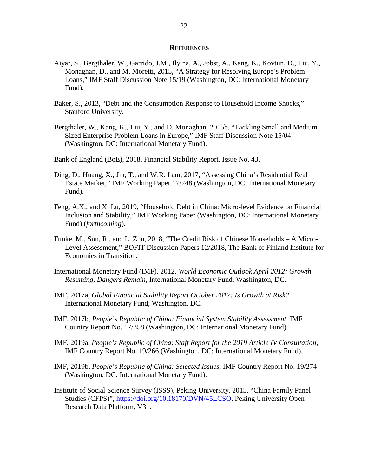#### **REFERENCES**

- <span id="page-21-0"></span>Aiyar, S., Bergthaler, W., Garrido, J.M., Ilyina, A., Jobst, A., Kang, K., Kovtun, D., Liu, Y., Monaghan, D., and M. Moretti, 2015, "A Strategy for Resolving Europe's Problem Loans," IMF Staff Discussion Note 15/19 (Washington, DC: International Monetary Fund).
- Baker, S., 2013, "Debt and the Consumption Response to Household Income Shocks," Stanford University.
- Bergthaler, W., Kang, K., Liu, Y., and D. Monaghan, 2015b, "Tackling Small and Medium Sized Enterprise Problem Loans in Europe," IMF Staff Discussion Note 15/04 (Washington, DC: International Monetary Fund).
- Bank of England (BoE), 2018, Financial Stability Report, Issue No. 43.
- Ding, D., Huang, X., Jin, T., and W.R. Lam, 2017, "Assessing China's Residential Real Estate Market," IMF Working Paper 17/248 (Washington, DC: International Monetary Fund).
- Feng, A.X., and X. Lu, 2019, "Household Debt in China: Micro-level Evidence on Financial Inclusion and Stability," IMF Working Paper (Washington, DC: International Monetary Fund) (*forthcoming*).
- Funke, M., Sun, R., and L. Zhu, 2018, "The Credit Risk of Chinese Households A Micro-Level Assessment," BOFIT Discussion Papers 12/2018, The Bank of Finland Institute for Economies in Transition.
- International Monetary Fund (IMF), 2012, *World Economic Outlook April 2012: Growth Resuming, Dangers Remain*, International Monetary Fund, Washington, DC.
- IMF, 2017a, *Global Financial Stability Report October 2017: Is Growth at Risk?* International Monetary Fund, Washington, DC.
- IMF, 2017b, *People's Republic of China: Financial System Stability Assessment*, IMF Country Report No. 17/358 (Washington, DC: International Monetary Fund).
- IMF, 2019a, *People's Republic of China: Staff Report for the 2019 Article IV Consultation,*  IMF Country Report No. 19/266 (Washington, DC: International Monetary Fund).
- IMF, 2019b, *People's Republic of China: Selected Issues,* IMF Country Report No. 19/274 (Washington, DC: International Monetary Fund).
- Institute of Social Science Survey (ISSS), Peking University, 2015, "China Family Panel Studies (CFPS)", [https://doi.org/10.18170/DVN/45LCSO,](https://doi.org/10.18170/DVN/45LCSO) Peking University Open Research Data Platform, V31.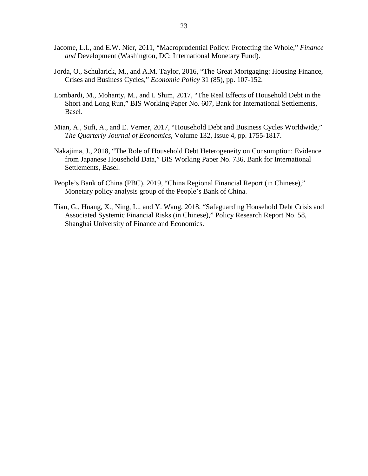- Jacome, L.I., and E.W. Nier, 2011, "Macroprudential Policy: Protecting the Whole," *Finance and* Development (Washington, DC: International Monetary Fund).
- Jorda, O., Schularick, M., and A.M. Taylor, 2016, "The Great Mortgaging: Housing Finance, Crises and Business Cycles," *Economic Policy* 31 (85), pp. 107-152.
- Lombardi, M., Mohanty, M., and I. Shim, 2017, "The Real Effects of Household Debt in the Short and Long Run," BIS Working Paper No. 607, Bank for International Settlements, Basel.
- Mian, A., Sufi, A., and E. Verner, 2017, "Household Debt and Business Cycles Worldwide," *The Quarterly Journal of Economics*, Volume 132, Issue 4, pp. 1755-1817.
- Nakajima, J., 2018, "The Role of Household Debt Heterogeneity on Consumption: Evidence from Japanese Household Data," BIS Working Paper No. 736, Bank for International Settlements, Basel.
- People's Bank of China (PBC), 2019, "China Regional Financial Report (in Chinese)," Monetary policy analysis group of the People's Bank of China.
- Tian, G., Huang, X., Ning, L., and Y. Wang, 2018, "Safeguarding Household Debt Crisis and Associated Systemic Financial Risks (in Chinese)," Policy Research Report No. 58, Shanghai University of Finance and Economics.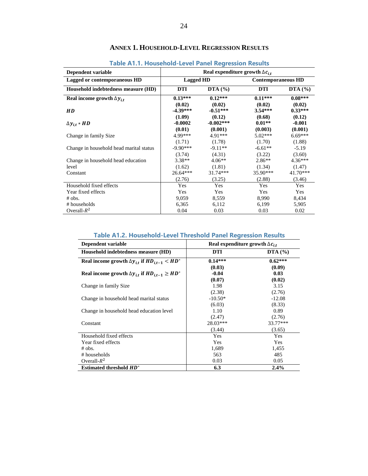<span id="page-23-0"></span>

| Dependent variable                          | Real expenditure growth $\Delta c_{i,t}$ |                                |                               |                               |
|---------------------------------------------|------------------------------------------|--------------------------------|-------------------------------|-------------------------------|
| Lagged or contemporaneous HD                | <b>Lagged HD</b>                         |                                | <b>Contemporaneous HD</b>     |                               |
| Household indebtedness measure (HD)         | <b>DTI</b>                               | DTA $(\% )$                    | <b>DTI</b>                    | DTA $(\% )$                   |
| Real income growth $\Delta y_{it}$          | $0.13***$                                | $0.12***$                      | $0.11***$                     | $0.08***$                     |
| <b>HD</b>                                   | (0.02)<br>$-4.39***$<br>(1.09)           | (0.02)<br>$-0.51***$<br>(0.12) | (0.02)<br>$3.54***$<br>(0.68) | (0.02)<br>$0.33***$<br>(0.12) |
| $\Delta y_{i,t} * HD$                       | $-0.0002$<br>(0.01)                      | $-0.002***$<br>(0.001)         | $0.01**$<br>(0.003)           | $-0.001$<br>(0.001)           |
| Change in family Size                       | 4.99***                                  | $4.91***$                      | $5.02***$                     | $6.69***$                     |
| Change in household head marital status     | (1.71)<br>$-9.90***$<br>(3.74)           | (1.78)<br>$-9.11**$<br>(4.31)  | (1.70)<br>$-6.61**$<br>(3.22) | (1.88)<br>$-5.19$<br>(3.60)   |
| Change in household head education<br>level | $3.38**$<br>(1.62)                       | $4.06**$<br>(1.81)             | $2.86**$<br>(1.34)            | $4.36***$<br>(1.47)           |
| Constant                                    | $26.64***$<br>(2.76)                     | $31.74***$<br>(3.25)           | 35.90***<br>(2.88)            | $41.70***$<br>(3.46)          |
| Household fixed effects                     | Yes                                      | Yes                            | Yes                           | Yes                           |
| Year fixed effects                          | Yes                                      | Yes                            | Yes                           | Yes                           |
| $#$ obs.                                    | 9,059                                    | 8,559                          | 8,990                         | 8,434                         |
| # households                                | 6,365                                    | 6,112                          | 6,199                         | 5,905                         |
| Overall- $R^2$                              | 0.04                                     | 0.03                           | 0.03                          | 0.02                          |

# **ANNEX 1. HOUSEHOLD-LEVEL REGRESSION RESULTS**

**Table A1.1. Household-Level Panel Regression Results**

#### **Table A1.2. Household-Level Threshold Panel Regression Results**

| Dependent variable                                            | Real expenditure growth $\Delta c_{i,t}$ |             |  |
|---------------------------------------------------------------|------------------------------------------|-------------|--|
| Household indebtedness measure (HD)                           | <b>DTI</b>                               | DTA $(\% )$ |  |
| Real income growth $\Delta y_{i,t}$ if $HD_{i,t-1} < HD^*$    | $0.14***$                                | $0.62***$   |  |
|                                                               | (0.03)                                   | (0.09)      |  |
| Real income growth $\Delta y_{i,t}$ if $HD_{i,t-1} \geq HD^*$ | $-0.04$                                  | 0.03        |  |
|                                                               | (0.07)                                   | (0.02)      |  |
| Change in family Size                                         | 1.98                                     | 3.15        |  |
|                                                               | (2.38)                                   | (2.76)      |  |
| Change in household head marital status                       | $-10.50*$                                | $-12.08$    |  |
|                                                               | (6.03)                                   | (8.33)      |  |
| Change in household head education level                      | 1.10                                     | 0.89        |  |
|                                                               | (2.47)                                   | (2.76)      |  |
| Constant                                                      | $28.03***$                               | 33.77***    |  |
|                                                               | (3.44)                                   | (3.65)      |  |
| Household fixed effects                                       | Yes                                      | Yes         |  |
| Year fixed effects                                            | Yes                                      | Yes         |  |
| $#$ obs.                                                      | 1,689                                    | 1,455       |  |
| # households                                                  | 563                                      | 485         |  |
| Overall- $R^2$                                                | 0.03                                     | 0.05        |  |
| <b>Estimated threshold HD*</b>                                | 6.3                                      | 2.4%        |  |